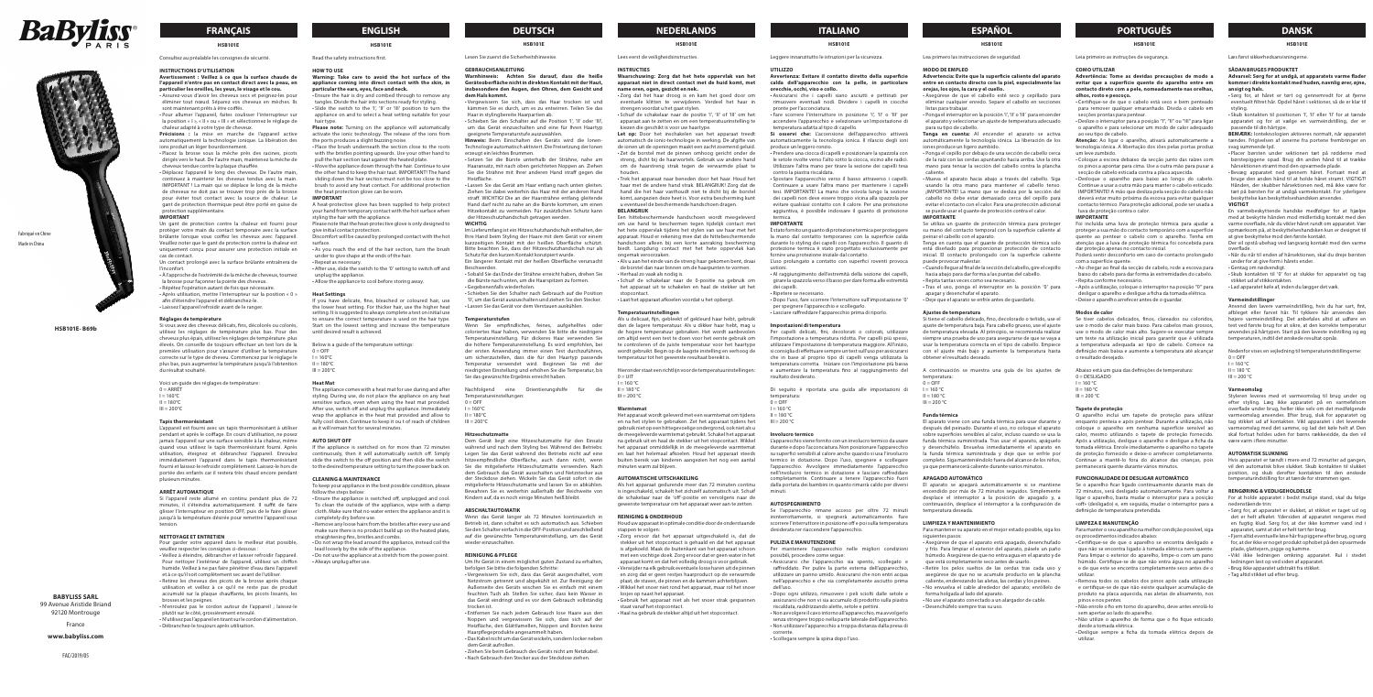## **DEUTSCH NEDERLANDS ITALIANO ESPAÑOL PORTUGUÊS DANSK**

#### **HSB101E**

## Lea primero las instrucciones de seguridad.

#### **MODO DE EMPLEO**

**Advertencia: Evite que la superficie caliente del aparato entre en contacto directo con la piel, especialmente las** 

**orejas, los ojos, la cara y el cuello.** • Asegúrese de que el cabello esté seco y cepillado para

eliminar cualquier enredo. Separe el cabello en secciones listas para trabajar. • Ponga el interruptor en la posición 'I', 'II' o 'III' para encender

el aparato y seleccionar un ajuste de temperatura adecuado para su tipo de cabello.

Se utiliza un guante de protección térmica para proteger su mano del contacto temporal con la superficie caliente al einar el cabello con el aparato.

**Tenga en cuenta:** Al encender el aparato se activa automáticamente la tecnología iónica. La liberación de los iones produce un ligero zumbido.

• Ponga el cepillo por debajo de una sección de cabello cerca de la raíz con las cerdas apuntando hacia arriba. Use la otra mano para tensar la sección del cabello contra la plancha caliente.

• Mueva el aparato hacia abajo a través del cabello. Siga usando la otra mano para mantener el cabello tenso. ¡IMPORTANTE! La mano que se desliza por la sección del cabello no debe estar demasiado cerca del cepillo para evitar el contacto con el calor. Para una protección adicional se puede usar el guante de protección contra el calor. **IMPORTANTE**

Tenga en cuenta que el guante de protección térmica solo está diseñado para proporcionar protección de contacto inicial. El contacto prolongado con la superficie caliente puede provocar malestar.

• Cuando llegue al final de la sección del cabello, gire el cepillo hacia abajo para dar forma a las puntas del cabello.

• Repita tantas veces como sea necesario. • Tras el uso, ponga el interruptor en la posición '0' para

apagar y desenchufar el aparato. • Deje que el aparato se enfríe antes de guardarlo.

**Ajustes de temperatura**

Si tiene el cabello delicado, fino, decolorado o teñido, use el ajuste de temperatura baja. Para cabello grueso, use el ajuste de temperatura elevada. Al principio, se recomienda realizar siempre una prueba de uso para asegurarse de que se vaya a usar la temperatura correcta en el tipo de cabello. Empiece con el ajuste más bajo y aumente la temperatura hasta

obtener el resultado deseado.

A continuación se muestra una guía de los ajustes de

temperatura:  $0 = \overline{O}$ FF  $I = 160 °C$  $II = 180 °C$  $III = 200 °C$ **Funda térmica** 

Continuare a usare l'altra mano per mantenere i capelli tesi. IMPORTANTE! La mano che scivola lungo la sezione dei capelli non deve essere troppo vicina alla spazzola per evitare qualsiasi contatto con il calore. Per una protezione aggiuntiva, è possibile indossare il guanto di protezione

> El aparato viene con una funda térmica para usar durante y después del peinado. Durante el uso, no coloque el aparato sobre superficies sensibles al calor, incluso cuando se usa la funda térmica suministrada. Tras usar el aparato, apáguelo y desenchúfelo. Envuelva inmediatamente el aparato en la funda térmica suministrada y deje que se enfríe por completo. Siga manteniéndolo fuera del alcance de los niños, ya que permanecerá caliente durante varios minutos.

**APAGADO AUTOMÁTICO**

El aparato se apagará automáticamente si se mantiene ndido por más de 72 minutos seguidos. Simplemente desplace el interruptor a la posición de apagado y, a continuación, desplace el interruptor a la configuración de

temperatura deseada. **LIMPIEZA Y MANTENIMIENTO**

Para mantener su aparato en el mejor estado posible, siga los

siguientes pasos:

• Asegúrese de que el aparato está apagado, desenchufado y frío. Para limpiar el exterior del aparato, pásele un paño húmedo. Asegúrese de que no entra agua en el aparato y de

que está completamente seco antes de usarlo. • Retire los pelos sueltos de las cerdas tras cada uso y asegúrese de que no se acumule producto en la plancha caliente, enderezando las aletas, las cerdas y los peines. • No envuelva el cable alrededor del aparato; enróllelo de

forma holgada al lado del aparato.

• No use el aparato conectado a un alargador de cable.

• Desenchúfelo siempre tras su uso.

#### **HSB101E**

Leggere innanzitutto le istruzioni per la sicurezza.

**UTILIZZO Avvertenza: Evitare il contatto diretto della superficie** 

**calda dell'apparecchio con la pelle, in particolare** 

**orecchie, occhi, viso e collo.** • Assicurarsi che i capelli siano asciutti e pettinati per rimuovere eventuali nodi. Dividere i capelli in ciocche pronte per l'acconciatura.

• Fare scorrere l'interruttore in posizione 'I', 'II' o 'III' per accendere l'apparecchio e selezionare un'impostazione di temperatura adatta al tipo di capello.

**Si osservi che:** L'accensione dell'apparecchio attiverà automaticamente la tecnologia ionica. Il rilascio degli ioni produce un leggero ronzio.

• Prendere una ciocca di capelli e posizionare la spazzola con le setole rivolte verso l'alto sotto la ciocca, vicino alle radici. Utilizzare l'altra mano per tirare la sezione dei capelli tesa contro la piastra riscaldata. • Spostare l'apparecchio verso il basso attraverso i capelli.

> Poderá sentir desconforto em caso de contacto prolongado com a superfície quente.

Abaixo está um guia das definições de temperatura:  $0 =$  DESLIGADO  $I = 160 °C$ 

 $II = 180 °C$  $III = 200 °C$ 

## termica. **IMPORTANTE**

È stato fornito un quanto di protezione termica per proteggere la mano dal contatto temporaneo con la superficie calda durante lo styling dei capelli con l'apparecchio. Il guanto di protezione termica è stato progettato esclusivamente per ornire una protezione iniziale dal contatto.

> O aparelho inclui um tapete de proteção para utilizar enquanto penteia e após pentear. Durante a utilização, não coloque o aparelho em nenhuma superfície sensível ao calor, mesmo utilizando o tapete de proteção fornecido. Após a utilização, desligue o aparelho e desligue a ficha da tomada elétrica. Enrole imediatamente o aparelho no tapete de proteção fornecido e deixe-o arrefecer completamente. Continue a mantê-lo fora do alcance das crianças, pois rmanecerá quente durante vários minutos

L'uso prolungato a contatto con superfici roventi provoca ustioni. • Al raggiungimento dell'estremità della sezione dei capelli,

girare la spazzola verso il basso per dare forma alle estremità dei capelli.

• Ripetere se necessario.

• Dopo l'uso, fare scorrere l'interruttore sull'impostazione '0'

per spegnere l'apparecchio e scollegarlo.

• Lasciare raffreddare l'apparecchio prima di riporlo.

**Advarsel: Sørg for at undgå, at apparatets varme flader kommer i direkte kontakt med huden, navnlig ører, øjne, ansigt og hals.** • Sørg for, at håret er tørt og gennemredt for at fierne

Di seguito è riportata una guida alle impostazioni di

temperatura: 0 = OFF

 $I = 160 °C$  $II = 180 °C$ 

**Involucro termico** 

L'apparecchio viene fornito con un involucro termico da usare durante e dopo l'acconciatura. Non posizionare l'apparecchio su superfici sensibili al calore anche quando si usa l'involucro termico in dotazione. Dopo l'uso, spegnere e scollegare l'apparecchio. Avvolgere immediatamente l'apparecchio nell'involucro termico in dotazione e lasciare raffreddare completamente. Continuare a tenere l'apparecchio fuori dalla portata dei bambini in quanto rimarrà caldo per diversi minuti.

#### **AUTOSPEGNIMENTO**

Se l'apparecchio rimane acceso per oltre 72 minuti

 $0 =$ OFF  $I = 160 °C$  $II = 180 °C$  $III = 200 °C$ **Varmeomslag** 

ininterrottamente, si spegnerà automaticamente. Fare scorrere l'interruttore in posizione off e poi sulla temperatura desiderata rer riaccendere l'apparecchio.

**PULIZIA E MANUTENZIONE** Per mantenere l'apparecchio nelle migliori condizioni

• Assicurarsi che l'apparecchio sia spento, scollegato e raffreddato. Per pulire la parte esterna dell'apparecchio, utilizzare un panno umido. Assicurarsi che non entri acqua nell'apparecchio e che sia completamente asciutto prima

dell'uso.

• Dopo ogni utilizzo, rimuovere i peli sciolti dalle setole e assicurarsi che non vi sia accumulo di prodotto sulla piastra

riscaldata, raddrizzando alette, setole e pettini.

• Non avvolgere il cavo intorno all'apparecchio, ma avvolgerlo • Non utilizzare l'apparecchio a troppa distanza dalla presa di

senza stringere troppo nella parte laterale dell'apparecchio. corrente.

• Ensure the hair is dry and combed through to remove any tangles. Divide the hair into sections ready for styling. Slide the switch to the 'I', 'II' or 'III' position to turn the

• Scollegare sempre la spina dopo l'uso.

appliance on and to select a heat setting suitable for your hair type. **Please note:** Turning on the appliance will automatically

### **HSB101E**

Leia primeiro as instruções de segurança.

#### **COMO UTILIZAR**

**Advertência: Tome as devidas precauções de modo a evitar que a superfície quente do aparelho entre em contacto direto com a pele, nomeadamente nas orelhas, olhos, rosto e pescoço.**

• Certifique-se de que o cabelo está seco e bem penteado para remover qualquer emaranhado. Divida o cabelo em secções prontas para pentear. • Deslize o interruptor para a posição "I", "II" ou "III" para ligar

o aparelho e para selecionar um modo de calor adequado ao seu tipo de cabelo.

**Atenção:** Ao ligar o aparelho, ativará automaticamente a tecnologia iónica. A libertação dos iões pelas portas produz um leve zumbido.

• Coloque a escova debaixo da secção junto das raízes com os pinos a apontar para cima. Use a outra mão para puxar a secção de cabelo esticada contra a placa aquecida.

• Desloque o aparelho para baixo ao longo do cabelo. Continue a usar a outra mão para manter o cabelo esticado. IMPORTANTE! A mão que desliza pela secção do cabelo não deverá estar muito próxima da escova para evitar qualquer contacto térmico. Para proteção adicional, pode ser usada a luva de proteção contra o calor.

#### **IMPORTANTE**

Foi incluída uma luva de proteção térmica para ajudar a proteger a sua mão do contacto temporário com a superfície y<br>te ao pentear o cabelo com o aparelho. Tenha em atenção que a luva de proteção térmica foi concebida para dar proteção apenas no contacto inicial.

• Ao chegar ao final da secção de cabelo, rode a escova para baixo do cabelo para dar forma às extremidades do cabelo. • Repita conforme necessário.

• Após a utilização, coloque o interruptor na posição "0" para desligar o aparelho e desligue a ficha da tomada elétrica.

• Deixe o aparelho arrefecer antes de o guardar.

### **Modos de calor**

Se tiver cabelos delicados, finos, clareados ou coloridos, use o modo de calor mais baixo. Para cabelos mais grossos, use o modo de calor mais alto. Sugere-se executar sempre um teste na utilização inicial para garantir que é utilizada a temperatura adequada ao tipo de cabelo. Comece na definição mais baixa e aumente a temperatura até alcançar o resultado desejado.

#### **Tapete de proteção**

Nachfolgend eine Orientierungshilfe für die Temperatureinstellungen:  $0 = \Omega$ FF

 $I = 160^{\circ}C$  $II = 180^{\circ}$  $III = 200^{\circ}C$ 

### **FUNCIONALIDADE DE DESLIGAR AUTOMÁTICO**

Se o aparelho ficar ligado continuamente durante mais de 72 minutos, será desligado automaticamente. Para voltar a ligar o aparelho, basta mudar o interruptor para a posição «off» (desligado) e, em seguida, mudar o interruptor para a definição de temperatura pretendida.

#### **LIMPEZA E MANUTENÇÃO**

Para manter o seu aparelho na melhor condição possível, siga os procedimentos indicados abaixo:

• Certifique-se de que o aparelho se encontra desligado e que não se encontra ligado à tomada elétrica nem quente. Para limpar o exterior do aparelho, limpe-o com um pano húmido. Certifique-se de que não entra água no aparelho e de que este se encontra completamente seco antes de o utilizar.

• Remova todos os cabelos dos pinos após cada utilização e certifique-se de que não existe qualquer acumulação de produto na placa aquecida, nas aletas de alisamento, nos pinos e nos pentes.

• Não enrole o fio em torno do aparelho, deve antes enrolá-lo sem apertar ao lado do aparelho.

kiezen die geschikt is voor uw haartype. Let op: Door het inschakelen van het apparaat treedt

> • Não utilize o aparelho de forma que o fio fique esticado desde a tomada elétrica. • Desligue sempre a ficha da tomada elétrica depois de

utilizar.

#### **HSB101E**

Læs først sikkerhedsanvisningern

#### **SÅDAN BRUGES PRODUKTET**

eventuelt filtret hår. Opdel håret i sektioner, så de er klar til styling. • Skub kontakten til positionen 'I', 'II' eller 'II' for at tænde apparatet og for at vælge en varmeindstilling, der er

passende til din hårtype.

**BEMÆRK:** Ionteknologien aktiveres normalt, når apparatet tændes. Frigivelsen af ionerne fra portene frembringer en

svag summende lyd.

 $0 = UIT$  $I = 160 °C$  $II = 180 °C$  $III = 200 °C$ **Warmtemat** 

• Placer børsten under sektionen tæt på rødderne med børstepiggene opad. Brug din anden hånd til at trække hårsektionen stramt mod den opvarmede plade. • Bevæg apparatet ned gennem håret. Fortsæt med a bruge den anden hånd til at holde håret stramt. VIGTIGT! Hånden, der skubber hårsektionen ned, må ikke være for tæt på børsten for at undgå varmekontakt. For yderligere beskyttelse kan beskyttelseshandsken anvendes.

 $III = 200 °C$ en na het stylen te gebruiken. Zet het apparaat tijdens het gebruik niet op een hittegevoelige ondergrond, ook niet als u de meegeleverde warmtemat gebruikt. Schakel het apparaat

**VIGTIGT**

En varmebeskyttende handske medfølger for at hjælpe med at beskytte hånden mod midlertidig kontakt med den varme overflade, når du vikler håret rundt om apparatet. Vær opmærksom på, at beskyttelseshandsken kun er designet til

at give beskyttelse mod den første kontakt.

Der vil opstå ubehag ved langvarig kontakt med den varme

overflade.

• Når du når til enden af hårsektionen, skal du dreje børsten

under for at give form i hårets ender. • Gentag om nødvendigt.

• Skub kontakten til '0' for at slukke for apparatet og tag

stikket ud af stikkontakten.

• Lad apparatet køle af, inden du lægger det væk.

**Varmeindstillinger**

• Assurez-vous d'avoir les cheveux secs et peignez-les pour éliminer tout nœud. Séparez vos cheveux en mèches. Ils ont maintenant prêts à être coiffés

> Anvend den lavere varmeindstilling, hvis du har sart, fint, afbleget eller farvet hår. Til tykkere hår anvendes den højere varmeindstilling. Det anbefales altid at udføre en test ved første brug for at sikre, at den korrekte temperatur anvendes på hårtypen. Start på den laveste indstilling og øg eraturen, indtil det ønskede resultat opnås. Nedenfor vises en vejledning til temperaturindstillingerne:

> Styleren leveres med et varmeomslag til brug under og efter styling. Læg ikke apparatet på en varmefølsom overflade under brug, heller ikke selv om det medfølgende armeomslag anvendes. Efter brug, sluk for apparatet og tag stikket ud af kontakten. Vikl apparatet i det leverede varmeomslag med det samme, og lad det køle helt af. Den skal fortsat holdes uden for børns rækkevidde, da den vil

være varm i flere minutter. **AUTOMATISK SLUKNING**

Hvis apparatet er tændt i mere end 72 minutter ad gangen, vil den automatisk blive slukket. Skub kontakten til slukket position, og skub derefter kontakten til den ønskede temperaturindstilling for at tænde for strømmen igen.

Voici un guide des réglages de température :  $0 = ARR\hat{F}$  $I = 160^{\circ}C$  $II = 180^{\circ}C$ 

 $III = 200^{\circ}C$ 

**RENGØRING & VEDLIGEHOLDELSE**

For at holde apparatet i bedst mulige stand, skal du følge

nedenstående trin:

• Sørg for, at apparatet er slukket, at stikket er taget ud og det er helt afkølet. Ydersiden af apparatet rengøres med en fugtig klud. Sørg for, at der ikke kommer vand ind i

apparatet, samt at det er helt tørt før brug.

• Fjern altid eventuelle løse hår fra piggene efter brug, og sørg for, at der ikke er noget produkt ophobet på den opvarmede

plade, glattejern, pigge og kamme.

• Vikl ikke ledningen omkring apparatet. Rul i stedet

ledningen løst op ved siden af apparatet. • Brug ikke apparatet udstrakt fra stikket. • Tag altid stikket ud efter brug.

#### **Impostazioni di temperatura** dan de lagere temperatuur. Als u dikker haar hebt, mag u

## **FRANÇAIS ENGLISH**

## **HSB101E**

Read the safety instructions first.

### **HOW TO USE**

Per capelli delicati, fini, decolorati o colorati, utilizzare .<br>Intazione a temperatura ridotta. Per capelli più spessi, utilizzare l'impostazione di temperatura maggiore. All'inizio, si consiglia di effettuare sempre un test sull'uso per assicurarsi che in base al proprio tipo di capelli venga utilizzata la temperatura corretta. Iniziare con l'impostazione più bassa e aumentare la temperatura fino al raggiungimento del risultato desiderato. om altijd eerst een test te doen voor het eerste gebruik om

### **Warning: Take care to avoid the hot surface of the appliance coming into direct contact with the skin, in particular the ears, eyes, face and neck.**

activate the ionic technology. The release of the ions from the ports produces a slight buzzing noise.

• Place the brush underneath the section close to the roots with the bristles pointing upwards. Use your other hand to pull the hair section taut against the heated plate.

• Move the appliance down through the hair. Continue to use the other hand to keep the hair taut. IMPORTANT! The hand sliding down the hair section must not be too close to the brush to avoid any heat contact. For additional protection the heat protection glove can be worn.

### **IMPORTANT**

A heat-protective glove has been supplied to help protect your hand from temporary contact with the hot surface when styling the hair with the appliance.

- Please note that the heat-protective glove is only designed to give initial contact protection. omfort will be caused by prolonged contact with the hot
- surface. • As you reach the end of the hair section, turn the brush
- under to give shape at the ends of the hair. • Repeat as necessary.
- After use, slide the switch to the '0' setting to switch off and unplug the appliance.
- Allow the appliance to cool before storing away.

possibili, procedere come segue: is afgekoeld. Maak de buitenkant van het apparaat schoon met een vochtige doek. Zorg ervoor dat er geen water in het apparaat komt en dat het volledig droog is voor gebruik. • Verwijder na elk gebruik eventuele losse haren uit de pinnen

#### **Heat Settings**

If you have delicate, fine, bleached or coloured hair, use the lower heat setting. For thicker hair, use the higher heat setting. It is suggested to always complete a test on initial use to ensure the correct temperature is used on the hair type. Start on the lowest setting and increase the temperature until desired result is achieved.

Below is a guide of the temperature settings:

 $0 =$  OFF  $I = 160^{\circ}C$  $II = 180^{\circ}C$  $III = 200^{\circ}C$ 

#### **Heat Mat**

The appliance comes with a heat mat for use during and after styling. During use, do not place the appliance on any heat sensitive surface, even when using the heat mat provided. After use, switch off and unplug the appliance. Immediately wrap the appliance in the heat mat provided and allow to fully cool down. Continue to keep it ou t of reach of children as it will remain hot for several minutes.

#### **AUTO SHUT OFF**

If the appliance is switched on for more than 72 minutes continuously, then it will automatically switch off. Simply slide the switch to the off position and then slide the switch to the desired temperature setting to turn the power back on.

#### **CLEANING & MAINTENANCE**

To keep your appliance in the best possible condition, please follow the steps below:

- Ensure the appliance is switched off, unplugged and cool. To clean the outside of the appliance, wipe with a damp cloth. Make sure that no water enters the appliance and it is completely dry before use.
- Remove any loose hairs from the bristles after every use and make sure there is no product build up on the heated plate straightening fins, bristles and combs.
- Do not wrap the lead around the appliance, instead coil the

lead loosely by the side of the appliance. • Do not use the appliance at a stretch from the power point. • Always unplug after use.

# **HSB101E**

Lesen Sie zuerst die Sicherheitshinweise.

#### **GEBRAUCHSANLEITUNG**

#### **Warnhinweis: Achten Sie darauf, dass die heiße Geräteoberfläche nicht in direkten Kontakt mit der Haut, insbesondere den Augen, den Ohren, dem Gesicht und dem Hals kommt.**

- Vergewissern Sie sich, dass das Haar trocken ist und kämmen Sie es durch, um es zu entwirren. Teilen Sie das Haar in stylingbereite Haarpartien ab.
- Schieben Sie den Schalter auf die Position 'I', 'II' oder 'III', um das Gerät einzuschalten und eine für Ihren Haartyp geeignete Temperaturstufe auszuwählen.
- **Hinweis:** Beim Einschalten des Geräts wird die Ionen-Technologie automatisch aktiviert. Die Freisetzung der Ionen erzeugt ein leichtes Brummen.
- Setzen Sie die Bürste unterhalb der Strähne, nahe am Haaransatz, mit nach oben gerichteten Noppen an. Ziehen Sie die Strähne mit Ihrer anderen Hand straff gegen die Heizfläche.

• Lassen Sie das Gerät am Haar entlang nach unten gleiten. Ziehen Sie dabei weiterhin das Haar mit der anderen Hand straff. WICHTIG! Die an der Haarsträhne entlang gleitende Hand darf nicht zu nahe an die Bürste kommen, um einen Hitzekontakt zu vermeiden. Für zusätzlichen Schutz kann der Hitzeschutzhandschuh getragen werden. **WICHTIG**

- 
- Im Lieferumfang ist ein Hitzeschutzhandschuh enthalten, der Ihre Hand beim Styling der Haare mit dem Gerät vor einem kurzzeitigen Kontakt mit der heißen Oberfläche schützt. Bitte beachten Sie, dass der Hitzeschutzhandschuh nur als Schutz für den kurzen Kontakt konzipiert wurde. Ein längerer Kontakt mit der heißen Oberfläche verursacht
- Beschwerden. • Sobald Sie das Ende der Strähne erreicht haben, drehen Sie
- die Bürste nach unten, um die Haarspitzen zu formen. • Gegebenenfalls wiederholen.
- Schieben Sie den Schalter nach Gebrauch auf die Position '0', um das Gerät auszuschalten und ziehen Sie den Stecker. • Lassen Sie das Gerät vor dem Verstauen auskühlen.

#### **Temperaturstufen**

Wenn Sie empfindliches, feines, aufgehelltes oder coloriertes Haar haben, verwenden Sie bitte die niedrigere Temperatureinstellung. Für dickeres Haar verwenden Sie die höhere Temperatureinstellung. Es wird empfohlen, bei der ersten Anwendung immer einen Test durchzuführen, um sicherzustellen, dass die für den Haartyp passende Temperatur verwendet wird. Beginnen Sie mit niedrigsten Einstellung und erhöhen Sie die Temperatur, bis Sie das gewünschte Ergebnis erreicht haben.

#### **Hitzeschutzmatte**

Dem Gerät liegt eine Hitzeschutzmatte für den Einsatz während und nach dem Styling bei. Während des Betriebs: Legen Sie das Gerät während des Betriebs nicht auf eine hitzeempfindliche Oberfläche, auch dann nicht, wenn Sie die mitgelieferte Hitzeschutzmatte verwenden. Nach dem Gebrauch das Gerät ausschalten und Netzstecker aus der Steckdose ziehen. Wickeln Sie das Gerät sofort in die mitgelieferte Hitzeschutzmatte und lassen Sie es abkühlen. hren Sie es weiterhin außerhalb der Reichweite von Kindern auf, da es noch einige Minuten heiß bleibt.

### **ABSCHALTAUTOMATIK**

Wenn das Gerät länger als 72 Minuten kontinuierlich in Betrieb ist, dann schaltet es sich automatisch aus. Schieben Sie den Schalter einfach in die OFF-Position und anschließend auf die gewünschte Temperatureinstellung, um das Gerät wieder einzuschalten.

#### **REINIGUNG & PFLEGE**

Um Ihr Gerät in einem möglichst guten Zustand zu erhalten, befolgen Sie bitte die folgenden Schritte: • Vergewissern Sie sich, dass das Gerät ausgeschaltet, vom

Netzstrom getrennt und abgekühlt ist. Zur Reinigung der Außenseite des Geräts wischen Sie es einfach mit einem feuchten Tuch ab. Stellen Sie sicher, dass kein Wasser in das Gerät eindringt und es vor dem Gebrauch vollständig trocken ist.

- Entfernen Sie nach jedem Gebrauch lose Haare aus den Noppen und vergewissern Sie sich, dass sich auf der Heizfläche, den Glättlamellen, Noppen und Borsten keine Haarpflegeprodukte angesammelt haben.
- Das Kabel nicht um das Gerät wickeln, sondern locker neben
- dem Gerät aufrollen. • Ziehen Sie beim Gebrauch des Geräts nicht am Netzkabel.
- 
- Nach Gebrauch den Stecker aus der Steckdose ziehen.

Lees eerst de veiligheidsinstructie

**HSB101E**

#### **INSTRUCTIES**

**Waarschuwing: Zorg dat het hete oppervlak van het apparaat niet in direct contact met de huid komt, met name oren, ogen, gezicht en nek.** • Zorg dat het haar droog is en kam het goed door om

eventuele klitten te verwijderen. Verdeel het haar in en voordat u het gaat stylen. • Schuif de schakelaar naar de positie 'I', 'II' of 'III' om het apparaat aan te zetten en om een temperatuurinstelling te

automatisch de ionic-technologie in werking. De afgifte van de ionen uit de openingen maakt een zacht zoemend geluid. • Zet de borstel met de pinnen omhoog gericht onder de streng, dicht bij de haarwortels. Gebruik uw andere hand

om de haarstreng strak tegen de verwarmde plaat te

houden.

• Trek het apparaat naar beneden door het haar. Houd het haar met de andere hand strak. BELANGRIJK! Zorg dat de hand die het haar vasthoudt niet te dicht bij de borstel komt, aangezien deze heet is. Voor extra bescherming kunt u eventueel de beschermende handschoen dragen.

**BELANGRIJK**

Een hittebeschermende handschoen wordt meegeleverd om uw hand te beschermen tegen tijdelijk contact met het hete oppervlak tijdens het stylen van uw haar met het apparaat. Houd er rekening mee dat de hittebeschermende handschoen alleen bij een korte aanraking bescherming biedt. Langdurig contact met het hete oppervlak kan

ongemak veroorzaken.

• Als u aan het einde van de streng haar gekomen bent, draai de borstel dan naar binnen om de haarpunten te vormen.

• Herhaal zo vaak als nodig is.

• Schuif de schakelaar naar de 0-positie na gebruik om het apparaat uit te schakelen en haal de stekker uit het

stopcontact.

• Laat het apparaat afkoelen voordat u het opbergt.

**Temperatuurinstellingen**

Als u delicaat, fijn, gebleekt of gekleurd haar hebt, gebruik

## de hogere temperatuur gebruiken. Het wordt aanbevolen

te controleren of de juiste temperatuur voor het haartype wordt gebruikt. Begin op de laagste instelling en verhoog de temperatuur tot het gewenste resultaat bereikt is.

Hieronder staat een richtlijn voor de temperatuurinstellingen:

Het apparaat wordt geleverd met een warmtemat om tijdens

na gebruik uit en haal de stekker uit het stopcontact. Wikkel het apparaat onmiddellijk in de meegeleverde warmtemat en laat het helemaal afkoelen. Houd het apparaat steeds buiten bereik van kinderen aangezien het nog een aantal

minuten warm zal blijven.

**AUTOMATISCHE UITSCHAKELING**

Als het apparaat gedurende meer dan 72 minuten continu is ingeschakeld, schakelt het zichzelf automatisch uit. Schuif de schakelaar naar de 'off'-positie en vervolgens naar de gewenste temperatuur om het apparaat weer aan te zetten.

**REINIGING & ONDERHOUD**

Houd uw apparaat in optimale conditie door de onderstaande

• Zorg ervoor dat het apparaat uitgeschakeld is, dat de stekker uit het stopcontact is gehaald en dat het apparaat

en zorg dat er geen restjes haarproduct op de verwarmde plaat, de staven, de pinnen en de kammen achterblijven. • Wikkel het snoer niet rond het apparaat, maar rol het snoer

losjes op naast het apparaat.

• Gebruik het apparaat niet als het snoer strak gespannen

staat vanaf het stopcontact.

stappen te volgen:

• Haal na gebruik de stekker altijd uit het stopcontact.

## **HSB101E**

### Consultez au préalable les consignes de sécurité.

#### **INSTRUCTIONS D'UTILISATION**

#### **Avertissement : Veillez à ce que la surface chaude de l'appareil n'entre pas en contact direct avec la peau, en particulier les oreilles, les yeux, le visage et le cou.**

• Pour allumer l'appareil, faites coulisser l'interrupteur sur la position « I », « II » ou « III » et sélectionnez le réglage de chaleur adapté à votre type de cheveux.

Précisions : la mise en marche de l'appareil active automatiquement la technologie ionique. La libération des ions produit un léger bourdonnement

• Placez la brosse sous la mèche près des racines, picots dirigés vers le haut. De l'autre main, maintenez la mèche de cheveux tendue contre la plaque chauffée.

• Déplacez l'appareil le long des cheveux. De l'autre main, continuez à maintenir les cheveux tendus avec la main. IMPORTANT ! La main qui se déplace le long de la mèche de cheveux ne doit pas se trouver trop près de la brosse pour éviter tout contact avec la source de chaleur. Le gant de protection thermique peut être porté en guise de protection supplémentaire.

#### **IMPORTANT**

Un gant de protection contre la chaleur est fourni pour protéger votre main du contact temporaire avec la surface brûlante lorsque vous coiffez les cheveux avec l'appareil. Veuillez noter que le gant de protection contre la chaleur est uniquement conçu pour assurer une protection initiale en cas de contact.

Un contact prolongé avec la surface brûlante entraînera de l'inconfort.

• À l'approche de l'extrémité de la mèche de cheveux, tournez la brosse pour façonner la pointe des cheveux. • Répétez l'opération autant de fois que nécessaire.

• Après utilisation, mettre l'interrupteur sur la position « 0 » afin d'éteindre l'appareil et débranchez-le.

• Laissez l'appareil refroidir avant de le ranger.

**Réglages de température**

Si vous avez des cheveux délicats, fins, décolorés ou colorés, utilisez les réglages de température plus bas. Pour des cheveux plus épais, utilisez les réglages de température plus élevés. On conseille de toujours effectuer un test lors de la première utilisation pour s'assurer d'utiliser la température correcte sur le type de cheveu. Commencez par le réglage le plus bas, puis augmentez la température jusqu'à l'obtention du résultat souhaité.

**Tapis thermorésistant** 

## L'appareil est fourni avec un tapis thermorésistant à utiliser

pendant et après le coiffage. En cours d'utilisation, ne posez jamais l'appareil sur une surface sensible à la chaleur, même quand vous utilisez le tapis thermorésistant fourni. Après utilisation, éteignez et débranchez l'appareil. Enroulez immédiatement l'appareil dans le tapis thermorésistant fourni et laissez-le refroidir complètement. Laissez-le hors de portée des enfants car il restera très chaud encore pendant plusieurs minutes.

#### **ARRÊT AUTOMATIQUE**

Si l'appareil reste allumé en continu pendant plus de 72 minutes, il s'éteindra automatiquement. Il suffit de faire glisser l'interrupteur en position OFF, puis de le faire glisser jusqu'à la température désirée pour remettre l'appareil sous tension.

#### **NETTOYAGE ET ENTRETIEN**

Pour garder votre appareil dans le meilleur état possible, veuillez respecter les consignes ci-dessous • Veillez à éteindre, débrancher et laisser refroidir l'appareil.

Pour nettoyer l'extérieur de l'appareil, utilisez un chiffon humide. Veillez à ne pas faire pénétrer d'eau dans l'appare et à ce qu'il soit complètement sec avant de l'utiliser. • Retirez les cheveux des picots de la brosse après chaque

utilisation et veillez à ce qu'il ne reste pas de produit accumulé sur la plaque chauffante, les picots lissants, les brosses et les peignes. • N'enroulez pas le cordon autour de l'appareil ; laissez-le

plutôt sur le côté, grossièrement enroulé. • N'utilisez pas l'appareil en tirant sur le cordon d'alimentation.

• Débranchez-le toujours après utilisation.

**BABYLISS SARL** 99 Avenue Aristide Briand 92120 Montrouge France **www.babyliss.com**

FAC/2019/05



**HSB101E- B69b**